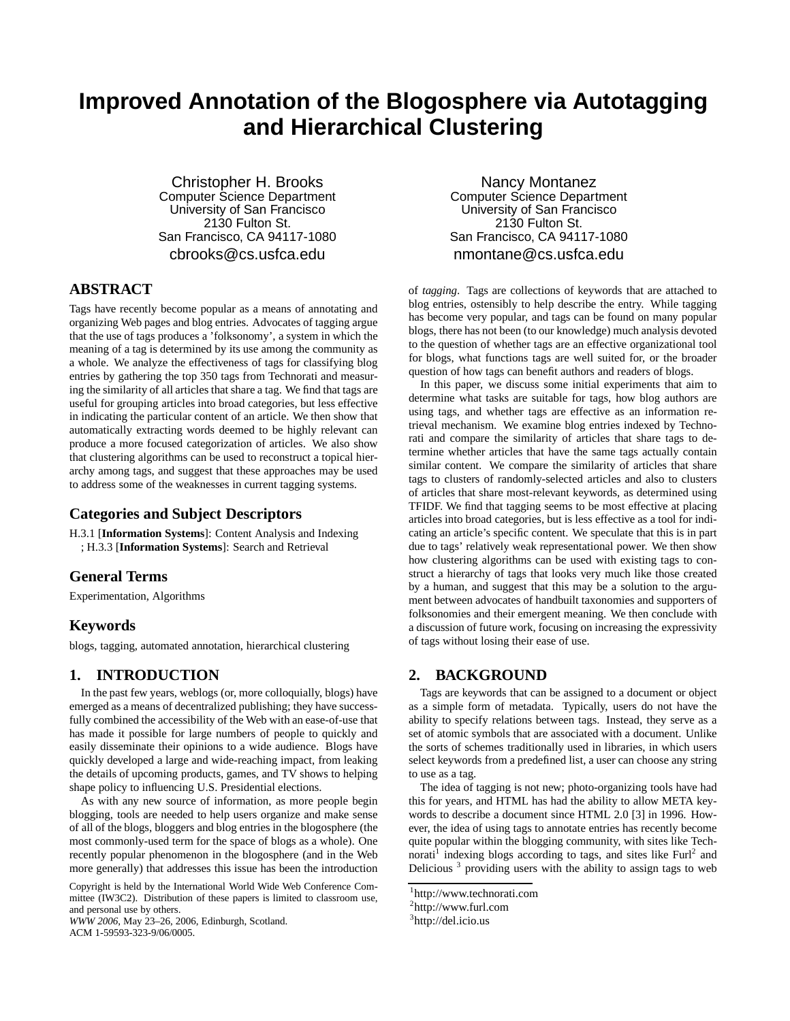# **Improved Annotation of the Blogosphere via Autotagging and Hierarchical Clustering**

Christopher H. Brooks Computer Science Department University of San Francisco 2130 Fulton St. San Francisco, CA 94117-1080 cbrooks@cs.usfca.edu

# **ABSTRACT**

Tags have recently become popular as a means of annotating and organizing Web pages and blog entries. Advocates of tagging argue that the use of tags produces a 'folksonomy', a system in which the meaning of a tag is determined by its use among the community as a whole. We analyze the effectiveness of tags for classifying blog entries by gathering the top 350 tags from Technorati and measuring the similarity of all articles that share a tag. We find that tags are useful for grouping articles into broad categories, but less effective in indicating the particular content of an article. We then show that automatically extracting words deemed to be highly relevant can produce a more focused categorization of articles. We also show that clustering algorithms can be used to reconstruct a topical hierarchy among tags, and suggest that these approaches may be used to address some of the weaknesses in current tagging systems.

# **Categories and Subject Descriptors**

H.3.1 [**Information Systems**]: Content Analysis and Indexing ; H.3.3 [**Information Systems**]: Search and Retrieval

# **General Terms**

Experimentation, Algorithms

# **Keywords**

blogs, tagging, automated annotation, hierarchical clustering

# **1. INTRODUCTION**

In the past few years, weblogs (or, more colloquially, blogs) have emerged as a means of decentralized publishing; they have successfully combined the accessibility of the Web with an ease-of-use that has made it possible for large numbers of people to quickly and easily disseminate their opinions to a wide audience. Blogs have quickly developed a large and wide-reaching impact, from leaking the details of upcoming products, games, and TV shows to helping shape policy to influencing U.S. Presidential elections.

As with any new source of information, as more people begin blogging, tools are needed to help users organize and make sense of all of the blogs, bloggers and blog entries in the blogosphere (the most commonly-used term for the space of blogs as a whole). One recently popular phenomenon in the blogosphere (and in the Web more generally) that addresses this issue has been the introduction

*WWW 2006*, May 23–26, 2006, Edinburgh, Scotland. ACM 1-59593-323-9/06/0005.

Nancy Montanez Computer Science Department University of San Francisco 2130 Fulton St. San Francisco, CA 94117-1080 nmontane@cs.usfca.edu

of *tagging*. Tags are collections of keywords that are attached to blog entries, ostensibly to help describe the entry. While tagging has become very popular, and tags can be found on many popular blogs, there has not been (to our knowledge) much analysis devoted to the question of whether tags are an effective organizational tool for blogs, what functions tags are well suited for, or the broader question of how tags can benefit authors and readers of blogs.

In this paper, we discuss some initial experiments that aim to determine what tasks are suitable for tags, how blog authors are using tags, and whether tags are effective as an information retrieval mechanism. We examine blog entries indexed by Technorati and compare the similarity of articles that share tags to determine whether articles that have the same tags actually contain similar content. We compare the similarity of articles that share tags to clusters of randomly-selected articles and also to clusters of articles that share most-relevant keywords, as determined using TFIDF. We find that tagging seems to be most effective at placing articles into broad categories, but is less effective as a tool for indicating an article's specific content. We speculate that this is in part due to tags' relatively weak representational power. We then show how clustering algorithms can be used with existing tags to construct a hierarchy of tags that looks very much like those created by a human, and suggest that this may be a solution to the argument between advocates of handbuilt taxonomies and supporters of folksonomies and their emergent meaning. We then conclude with a discussion of future work, focusing on increasing the expressivity of tags without losing their ease of use.

# **2. BACKGROUND**

Tags are keywords that can be assigned to a document or object as a simple form of metadata. Typically, users do not have the ability to specify relations between tags. Instead, they serve as a set of atomic symbols that are associated with a document. Unlike the sorts of schemes traditionally used in libraries, in which users select keywords from a predefined list, a user can choose any string to use as a tag.

The idea of tagging is not new; photo-organizing tools have had this for years, and HTML has had the ability to allow META keywords to describe a document since HTML 2.0 [3] in 1996. However, the idea of using tags to annotate entries has recently become quite popular within the blogging community, with sites like Technorati<sup>1</sup> indexing blogs according to tags, and sites like Furl<sup>2</sup> and Delicious<sup>3</sup> providing users with the ability to assign tags to web

Copyright is held by the International World Wide Web Conference Committee (IW3C2). Distribution of these papers is limited to classroom use, and personal use by others.

<sup>1</sup> http://www.technorati.com

<sup>2</sup> http://www.furl.com

<sup>3</sup> http://del.icio.us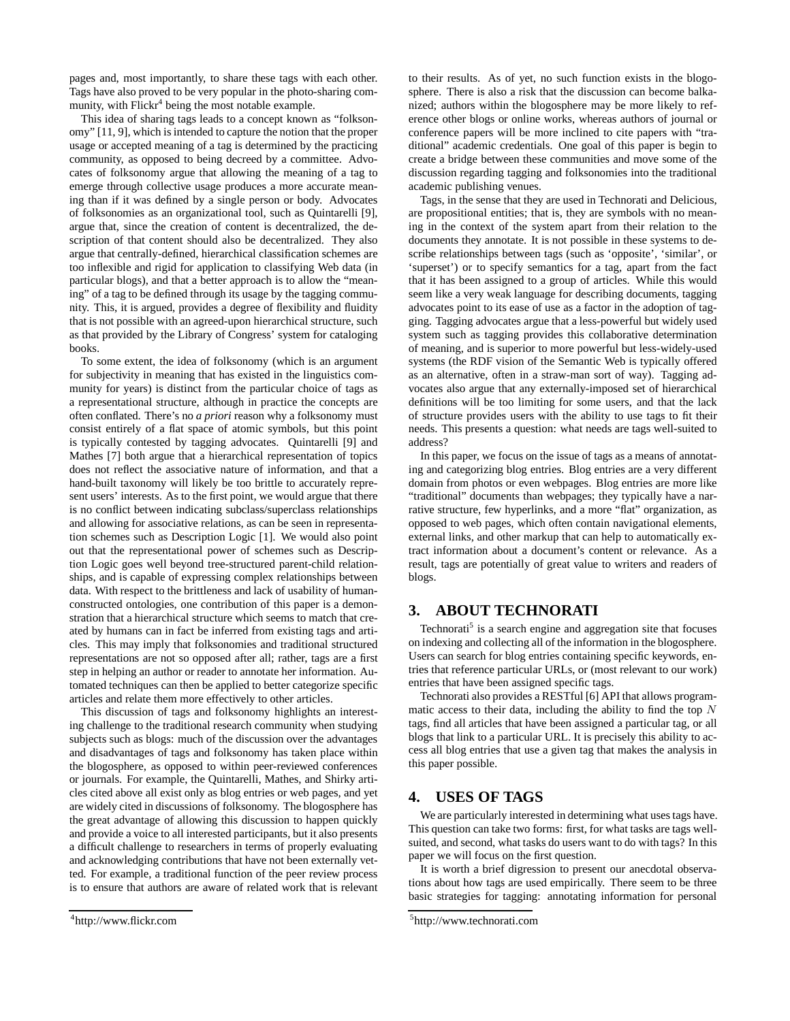pages and, most importantly, to share these tags with each other. Tags have also proved to be very popular in the photo-sharing community, with Flickr<sup>4</sup> being the most notable example.

This idea of sharing tags leads to a concept known as "folksonomy" [11, 9], which is intended to capture the notion that the proper usage or accepted meaning of a tag is determined by the practicing community, as opposed to being decreed by a committee. Advocates of folksonomy argue that allowing the meaning of a tag to emerge through collective usage produces a more accurate meaning than if it was defined by a single person or body. Advocates of folksonomies as an organizational tool, such as Quintarelli [9], argue that, since the creation of content is decentralized, the description of that content should also be decentralized. They also argue that centrally-defined, hierarchical classification schemes are too inflexible and rigid for application to classifying Web data (in particular blogs), and that a better approach is to allow the "meaning" of a tag to be defined through its usage by the tagging community. This, it is argued, provides a degree of flexibility and fluidity that is not possible with an agreed-upon hierarchical structure, such as that provided by the Library of Congress' system for cataloging books.

To some extent, the idea of folksonomy (which is an argument for subjectivity in meaning that has existed in the linguistics community for years) is distinct from the particular choice of tags as a representational structure, although in practice the concepts are often conflated. There's no *a priori* reason why a folksonomy must consist entirely of a flat space of atomic symbols, but this point is typically contested by tagging advocates. Quintarelli [9] and Mathes [7] both argue that a hierarchical representation of topics does not reflect the associative nature of information, and that a hand-built taxonomy will likely be too brittle to accurately represent users' interests. As to the first point, we would argue that there is no conflict between indicating subclass/superclass relationships and allowing for associative relations, as can be seen in representation schemes such as Description Logic [1]. We would also point out that the representational power of schemes such as Description Logic goes well beyond tree-structured parent-child relationships, and is capable of expressing complex relationships between data. With respect to the brittleness and lack of usability of humanconstructed ontologies, one contribution of this paper is a demonstration that a hierarchical structure which seems to match that created by humans can in fact be inferred from existing tags and articles. This may imply that folksonomies and traditional structured representations are not so opposed after all; rather, tags are a first step in helping an author or reader to annotate her information. Automated techniques can then be applied to better categorize specific articles and relate them more effectively to other articles.

This discussion of tags and folksonomy highlights an interesting challenge to the traditional research community when studying subjects such as blogs: much of the discussion over the advantages and disadvantages of tags and folksonomy has taken place within the blogosphere, as opposed to within peer-reviewed conferences or journals. For example, the Quintarelli, Mathes, and Shirky articles cited above all exist only as blog entries or web pages, and yet are widely cited in discussions of folksonomy. The blogosphere has the great advantage of allowing this discussion to happen quickly and provide a voice to all interested participants, but it also presents a difficult challenge to researchers in terms of properly evaluating and acknowledging contributions that have not been externally vetted. For example, a traditional function of the peer review process is to ensure that authors are aware of related work that is relevant

to their results. As of yet, no such function exists in the blogosphere. There is also a risk that the discussion can become balkanized; authors within the blogosphere may be more likely to reference other blogs or online works, whereas authors of journal or conference papers will be more inclined to cite papers with "traditional" academic credentials. One goal of this paper is begin to create a bridge between these communities and move some of the discussion regarding tagging and folksonomies into the traditional academic publishing venues.

Tags, in the sense that they are used in Technorati and Delicious, are propositional entities; that is, they are symbols with no meaning in the context of the system apart from their relation to the documents they annotate. It is not possible in these systems to describe relationships between tags (such as 'opposite', 'similar', or 'superset') or to specify semantics for a tag, apart from the fact that it has been assigned to a group of articles. While this would seem like a very weak language for describing documents, tagging advocates point to its ease of use as a factor in the adoption of tagging. Tagging advocates argue that a less-powerful but widely used system such as tagging provides this collaborative determination of meaning, and is superior to more powerful but less-widely-used systems (the RDF vision of the Semantic Web is typically offered as an alternative, often in a straw-man sort of way). Tagging advocates also argue that any externally-imposed set of hierarchical definitions will be too limiting for some users, and that the lack of structure provides users with the ability to use tags to fit their needs. This presents a question: what needs are tags well-suited to address?

In this paper, we focus on the issue of tags as a means of annotating and categorizing blog entries. Blog entries are a very different domain from photos or even webpages. Blog entries are more like "traditional" documents than webpages; they typically have a narrative structure, few hyperlinks, and a more "flat" organization, as opposed to web pages, which often contain navigational elements, external links, and other markup that can help to automatically extract information about a document's content or relevance. As a result, tags are potentially of great value to writers and readers of blogs.

# **3. ABOUT TECHNORATI**

Technorati<sup>5</sup> is a search engine and aggregation site that focuses on indexing and collecting all of the information in the blogosphere. Users can search for blog entries containing specific keywords, entries that reference particular URLs, or (most relevant to our work) entries that have been assigned specific tags.

Technorati also provides a RESTful [6] API that allows programmatic access to their data, including the ability to find the top  $N$ tags, find all articles that have been assigned a particular tag, or all blogs that link to a particular URL. It is precisely this ability to access all blog entries that use a given tag that makes the analysis in this paper possible.

# **4. USES OF TAGS**

We are particularly interested in determining what uses tags have. This question can take two forms: first, for what tasks are tags wellsuited, and second, what tasks do users want to do with tags? In this paper we will focus on the first question.

It is worth a brief digression to present our anecdotal observations about how tags are used empirically. There seem to be three basic strategies for tagging: annotating information for personal

<sup>4</sup> http://www.flickr.com

<sup>5</sup> http://www.technorati.com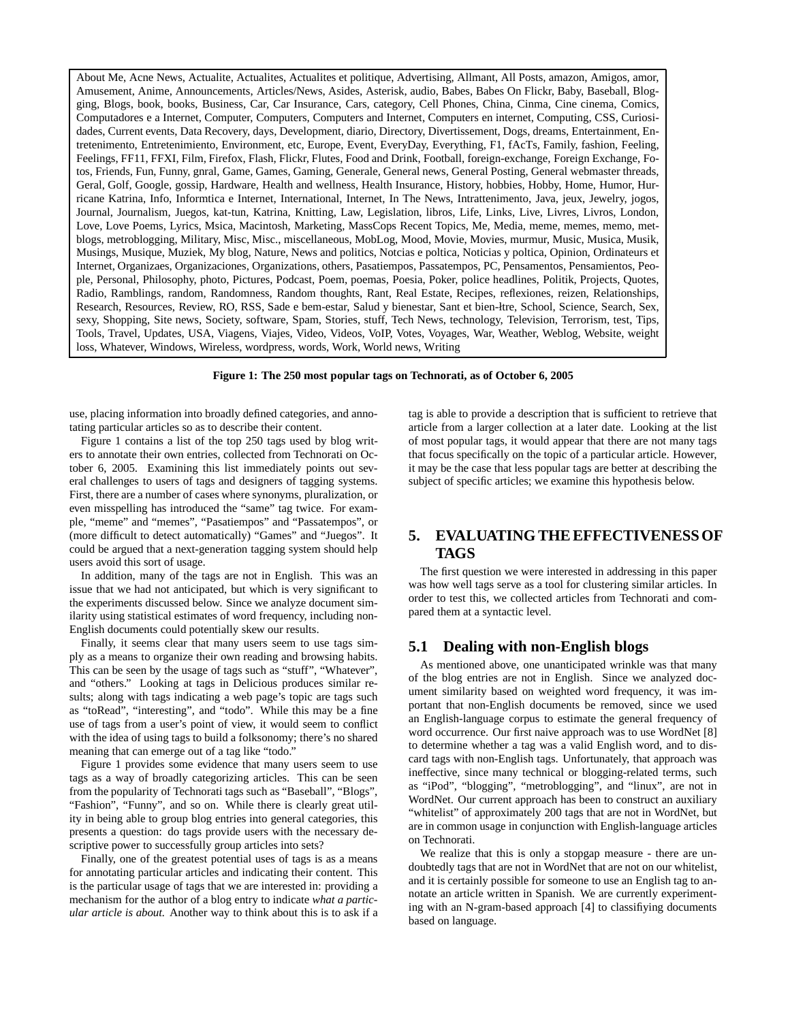About Me, Acne News, Actualite, Actualites, Actualites et politique, Advertising, Allmant, All Posts, amazon, Amigos, amor, Amusement, Anime, Announcements, Articles/News, Asides, Asterisk, audio, Babes, Babes On Flickr, Baby, Baseball, Blogging, Blogs, book, books, Business, Car, Car Insurance, Cars, category, Cell Phones, China, Cinma, Cine cinema, Comics, Computadores e a Internet, Computer, Computers, Computers and Internet, Computers en internet, Computing, CSS, Curiosidades, Current events, Data Recovery, days, Development, diario, Directory, Divertissement, Dogs, dreams, Entertainment, Entretenimento, Entretenimiento, Environment, etc, Europe, Event, EveryDay, Everything, F1, fAcTs, Family, fashion, Feeling, Feelings, FF11, FFXI, Film, Firefox, Flash, Flickr, Flutes, Food and Drink, Football, foreign-exchange, Foreign Exchange, Fotos, Friends, Fun, Funny, gnral, Game, Games, Gaming, Generale, General news, General Posting, General webmaster threads, Geral, Golf, Google, gossip, Hardware, Health and wellness, Health Insurance, History, hobbies, Hobby, Home, Humor, Hurricane Katrina, Info, Informtica e Internet, International, Internet, In The News, Intrattenimento, Java, jeux, Jewelry, jogos, Journal, Journalism, Juegos, kat-tun, Katrina, Knitting, Law, Legislation, libros, Life, Links, Live, Livres, Livros, London, Love, Love Poems, Lyrics, Msica, Macintosh, Marketing, MassCops Recent Topics, Me, Media, meme, memes, memo, metblogs, metroblogging, Military, Misc, Misc., miscellaneous, MobLog, Mood, Movie, Movies, murmur, Music, Musica, Musik, Musings, Musique, Muziek, My blog, Nature, News and politics, Notcias e poltica, Noticias y poltica, Opinion, Ordinateurs et Internet, Organizaes, Organizaciones, Organizations, others, Pasatiempos, Passatempos, PC, Pensamentos, Pensamientos, People, Personal, Philosophy, photo, Pictures, Podcast, Poem, poemas, Poesia, Poker, police headlines, Politik, Projects, Quotes, Radio, Ramblings, random, Randomness, Random thoughts, Rant, Real Estate, Recipes, reflexiones, reizen, Relationships, Research, Resources, Review, RO, RSS, Sade e bem-estar, Salud y bienestar, Sant et bien-łtre, School, Science, Search, Sex, sexy, Shopping, Site news, Society, software, Spam, Stories, stuff, Tech News, technology, Television, Terrorism, test, Tips, Tools, Travel, Updates, USA, Viagens, Viajes, Video, Videos, VoIP, Votes, Voyages, War, Weather, Weblog, Website, weight loss, Whatever, Windows, Wireless, wordpress, words, Work, World news, Writing

#### **Figure 1: The 250 most popular tags on Technorati, as of October 6, 2005**

use, placing information into broadly defined categories, and annotating particular articles so as to describe their content.

Figure 1 contains a list of the top 250 tags used by blog writers to annotate their own entries, collected from Technorati on October 6, 2005. Examining this list immediately points out several challenges to users of tags and designers of tagging systems. First, there are a number of cases where synonyms, pluralization, or even misspelling has introduced the "same" tag twice. For example, "meme" and "memes", "Pasatiempos" and "Passatempos", or (more difficult to detect automatically) "Games" and "Juegos". It could be argued that a next-generation tagging system should help users avoid this sort of usage.

In addition, many of the tags are not in English. This was an issue that we had not anticipated, but which is very significant to the experiments discussed below. Since we analyze document similarity using statistical estimates of word frequency, including non-English documents could potentially skew our results.

Finally, it seems clear that many users seem to use tags simply as a means to organize their own reading and browsing habits. This can be seen by the usage of tags such as "stuff", "Whatever", and "others." Looking at tags in Delicious produces similar results; along with tags indicating a web page's topic are tags such as "toRead", "interesting", and "todo". While this may be a fine use of tags from a user's point of view, it would seem to conflict with the idea of using tags to build a folksonomy; there's no shared meaning that can emerge out of a tag like "todo."

Figure 1 provides some evidence that many users seem to use tags as a way of broadly categorizing articles. This can be seen from the popularity of Technorati tags such as "Baseball", "Blogs", "Fashion", "Funny", and so on. While there is clearly great utility in being able to group blog entries into general categories, this presents a question: do tags provide users with the necessary descriptive power to successfully group articles into sets?

Finally, one of the greatest potential uses of tags is as a means for annotating particular articles and indicating their content. This is the particular usage of tags that we are interested in: providing a mechanism for the author of a blog entry to indicate *what a particular article is about.* Another way to think about this is to ask if a

tag is able to provide a description that is sufficient to retrieve that article from a larger collection at a later date. Looking at the list of most popular tags, it would appear that there are not many tags that focus specifically on the topic of a particular article. However, it may be the case that less popular tags are better at describing the subject of specific articles; we examine this hypothesis below.

# **5. EVALUATING THE EFFECTIVENESS OF TAGS**

The first question we were interested in addressing in this paper was how well tags serve as a tool for clustering similar articles. In order to test this, we collected articles from Technorati and compared them at a syntactic level.

### **5.1 Dealing with non-English blogs**

As mentioned above, one unanticipated wrinkle was that many of the blog entries are not in English. Since we analyzed document similarity based on weighted word frequency, it was important that non-English documents be removed, since we used an English-language corpus to estimate the general frequency of word occurrence. Our first naive approach was to use WordNet [8] to determine whether a tag was a valid English word, and to discard tags with non-English tags. Unfortunately, that approach was ineffective, since many technical or blogging-related terms, such as "iPod", "blogging", "metroblogging", and "linux", are not in WordNet. Our current approach has been to construct an auxiliary "whitelist" of approximately 200 tags that are not in WordNet, but are in common usage in conjunction with English-language articles on Technorati.

We realize that this is only a stopgap measure - there are undoubtedly tags that are not in WordNet that are not on our whitelist, and it is certainly possible for someone to use an English tag to annotate an article written in Spanish. We are currently experimenting with an N-gram-based approach [4] to classifiying documents based on language.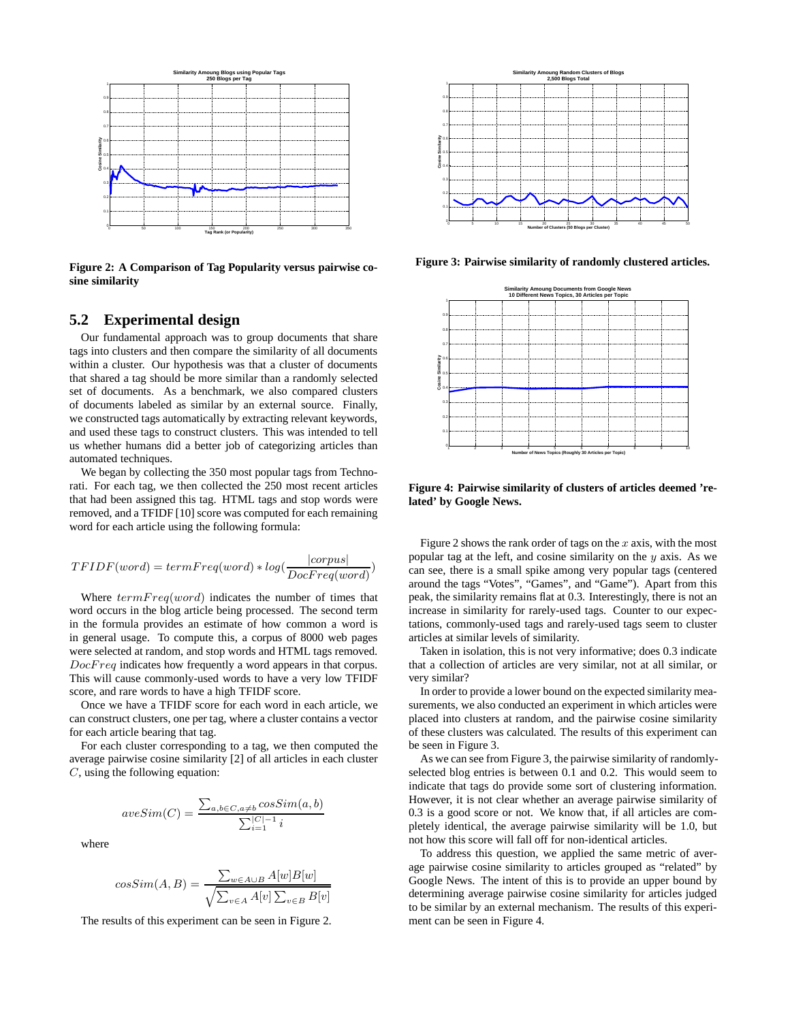

**Figure 2: A Comparison of Tag Popularity versus pairwise cosine similarity**

### **5.2 Experimental design**

Our fundamental approach was to group documents that share tags into clusters and then compare the similarity of all documents within a cluster. Our hypothesis was that a cluster of documents that shared a tag should be more similar than a randomly selected set of documents. As a benchmark, we also compared clusters of documents labeled as similar by an external source. Finally, we constructed tags automatically by extracting relevant keywords, and used these tags to construct clusters. This was intended to tell us whether humans did a better job of categorizing articles than automated techniques.

We began by collecting the 350 most popular tags from Technorati. For each tag, we then collected the 250 most recent articles that had been assigned this tag. HTML tags and stop words were removed, and a TFIDF [10] score was computed for each remaining word for each article using the following formula:

$$
TFIDF(word) = termFreq(word)*log(\frac{|corpus|}{DocFreq(word)})
$$

Where  $termFreq(word)$  indicates the number of times that word occurs in the blog article being processed. The second term in the formula provides an estimate of how common a word is in general usage. To compute this, a corpus of 8000 web pages were selected at random, and stop words and HTML tags removed. DocFreq indicates how frequently a word appears in that corpus. This will cause commonly-used words to have a very low TFIDF score, and rare words to have a high TFIDF score.

Once we have a TFIDF score for each word in each article, we can construct clusters, one per tag, where a cluster contains a vector for each article bearing that tag.

For each cluster corresponding to a tag, we then computed the average pairwise cosine similarity [2] of all articles in each cluster C, using the following equation:

$$
aveSim(C) = \frac{\sum_{a,b \in C, a \neq b} cosSim(a,b)}{\sum_{i=1}^{|C|-1} i}
$$

where

$$
cosSim(A, B) = \frac{\sum_{w \in A \cup B} A[w]B[w]}{\sqrt{\sum_{v \in A} A[v] \sum_{v \in B} B[v]}}
$$

The results of this experiment can be seen in Figure 2.



**Figure 3: Pairwise similarity of randomly clustered articles.**



**Figure 4: Pairwise similarity of clusters of articles deemed 'related' by Google News.**

Figure 2 shows the rank order of tags on the  $x$  axis, with the most popular tag at the left, and cosine similarity on the  $y$  axis. As we can see, there is a small spike among very popular tags (centered around the tags "Votes", "Games", and "Game"). Apart from this peak, the similarity remains flat at 0.3. Interestingly, there is not an increase in similarity for rarely-used tags. Counter to our expectations, commonly-used tags and rarely-used tags seem to cluster articles at similar levels of similarity.

Taken in isolation, this is not very informative; does 0.3 indicate that a collection of articles are very similar, not at all similar, or very similar?

In order to provide a lower bound on the expected similarity measurements, we also conducted an experiment in which articles were placed into clusters at random, and the pairwise cosine similarity of these clusters was calculated. The results of this experiment can be seen in Figure 3.

As we can see from Figure 3, the pairwise similarity of randomlyselected blog entries is between 0.1 and 0.2. This would seem to indicate that tags do provide some sort of clustering information. However, it is not clear whether an average pairwise similarity of 0.3 is a good score or not. We know that, if all articles are completely identical, the average pairwise similarity will be 1.0, but not how this score will fall off for non-identical articles.

To address this question, we applied the same metric of average pairwise cosine similarity to articles grouped as "related" by Google News. The intent of this is to provide an upper bound by determining average pairwise cosine similarity for articles judged to be similar by an external mechanism. The results of this experiment can be seen in Figure 4.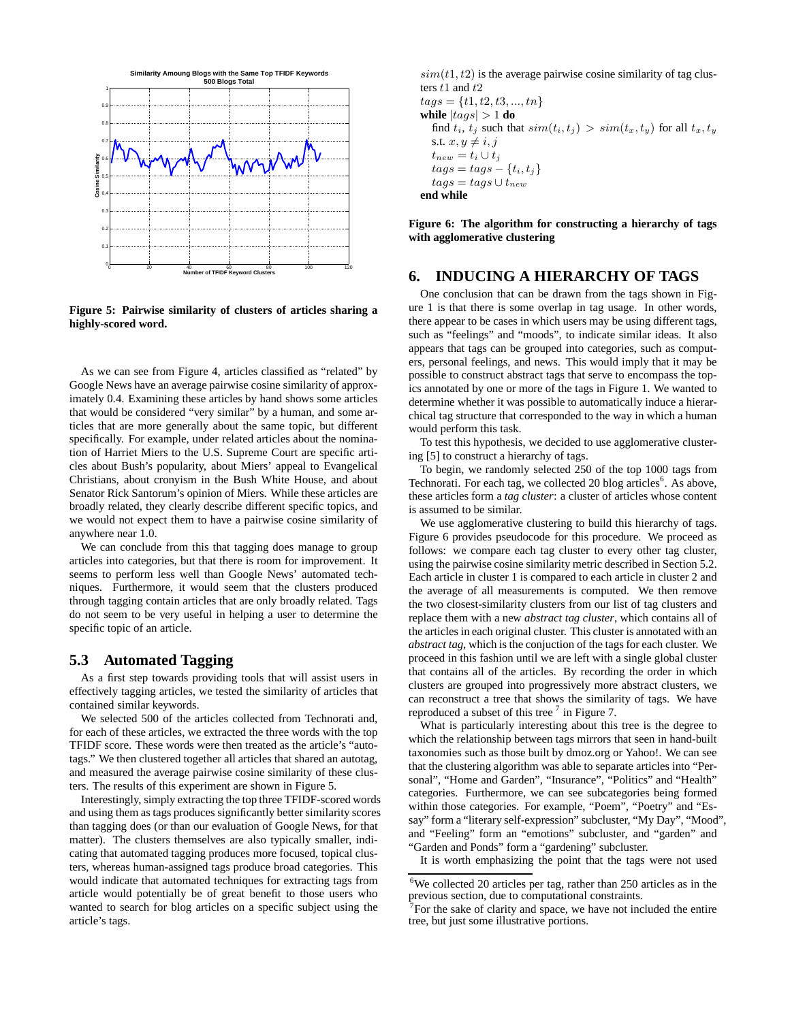

**Figure 5: Pairwise similarity of clusters of articles sharing a highly-scored word.**

As we can see from Figure 4, articles classified as "related" by Google News have an average pairwise cosine similarity of approximately 0.4. Examining these articles by hand shows some articles that would be considered "very similar" by a human, and some articles that are more generally about the same topic, but different specifically. For example, under related articles about the nomination of Harriet Miers to the U.S. Supreme Court are specific articles about Bush's popularity, about Miers' appeal to Evangelical Christians, about cronyism in the Bush White House, and about Senator Rick Santorum's opinion of Miers. While these articles are broadly related, they clearly describe different specific topics, and we would not expect them to have a pairwise cosine similarity of anywhere near 1.0.

We can conclude from this that tagging does manage to group articles into categories, but that there is room for improvement. It seems to perform less well than Google News' automated techniques. Furthermore, it would seem that the clusters produced through tagging contain articles that are only broadly related. Tags do not seem to be very useful in helping a user to determine the specific topic of an article.

### **5.3 Automated Tagging**

As a first step towards providing tools that will assist users in effectively tagging articles, we tested the similarity of articles that contained similar keywords.

We selected 500 of the articles collected from Technorati and, for each of these articles, we extracted the three words with the top TFIDF score. These words were then treated as the article's "autotags." We then clustered together all articles that shared an autotag, and measured the average pairwise cosine similarity of these clusters. The results of this experiment are shown in Figure 5.

Interestingly, simply extracting the top three TFIDF-scored words and using them as tags produces significantly better similarity scores than tagging does (or than our evaluation of Google News, for that matter). The clusters themselves are also typically smaller, indicating that automated tagging produces more focused, topical clusters, whereas human-assigned tags produce broad categories. This would indicate that automated techniques for extracting tags from article would potentially be of great benefit to those users who wanted to search for blog articles on a specific subject using the article's tags.

 $sim(t1, t2)$  is the average pairwise cosine similarity of tag clusters  $t1$  and  $t2$ 

 $tags = \{t1, t2, t3, ..., tn\}$ **while**  $|tags| > 1$  **do** find  $t_i$ ,  $t_j$  such that  $sim(t_i, t_j) > sim(t_x, t_y)$  for all  $t_x, t_y$ s.t.  $x, y \neq i, j$  $t_{new} = t_i \cup t_j$  $tags = tags - \{t_i, t_j\}$  $tags = tags \cup t_{new}$ **end while**

**Figure 6: The algorithm for constructing a hierarchy of tags with agglomerative clustering**

# **6. INDUCING A HIERARCHY OF TAGS**

One conclusion that can be drawn from the tags shown in Figure 1 is that there is some overlap in tag usage. In other words, there appear to be cases in which users may be using different tags, such as "feelings" and "moods", to indicate similar ideas. It also appears that tags can be grouped into categories, such as computers, personal feelings, and news. This would imply that it may be possible to construct abstract tags that serve to encompass the topics annotated by one or more of the tags in Figure 1. We wanted to determine whether it was possible to automatically induce a hierarchical tag structure that corresponded to the way in which a human would perform this task.

To test this hypothesis, we decided to use agglomerative clustering [5] to construct a hierarchy of tags.

To begin, we randomly selected 250 of the top 1000 tags from Technorati. For each tag, we collected 20 blog articles<sup>6</sup>. As above, these articles form a *tag cluster*: a cluster of articles whose content is assumed to be similar.

We use agglomerative clustering to build this hierarchy of tags. Figure 6 provides pseudocode for this procedure. We proceed as follows: we compare each tag cluster to every other tag cluster, using the pairwise cosine similarity metric described in Section 5.2. Each article in cluster 1 is compared to each article in cluster 2 and the average of all measurements is computed. We then remove the two closest-similarity clusters from our list of tag clusters and replace them with a new *abstract tag cluster*, which contains all of the articles in each original cluster. This cluster is annotated with an *abstract tag*, which is the conjuction of the tags for each cluster. We proceed in this fashion until we are left with a single global cluster that contains all of the articles. By recording the order in which clusters are grouped into progressively more abstract clusters, we can reconstruct a tree that shows the similarity of tags. We have reproduced a subset of this tree  $7$  in Figure 7.

What is particularly interesting about this tree is the degree to which the relationship between tags mirrors that seen in hand-built taxonomies such as those built by dmoz.org or Yahoo!. We can see that the clustering algorithm was able to separate articles into "Personal", "Home and Garden", "Insurance", "Politics" and "Health" categories. Furthermore, we can see subcategories being formed within those categories. For example, "Poem", "Poetry" and "Essay" form a "literary self-expression" subcluster, "My Day", "Mood", and "Feeling" form an "emotions" subcluster, and "garden" and "Garden and Ponds" form a "gardening" subcluster.

It is worth emphasizing the point that the tags were not used

<sup>6</sup>We collected 20 articles per tag, rather than 250 articles as in the previous section, due to computational constraints.

 $7$  For the sake of clarity and space, we have not included the entire tree, but just some illustrative portions.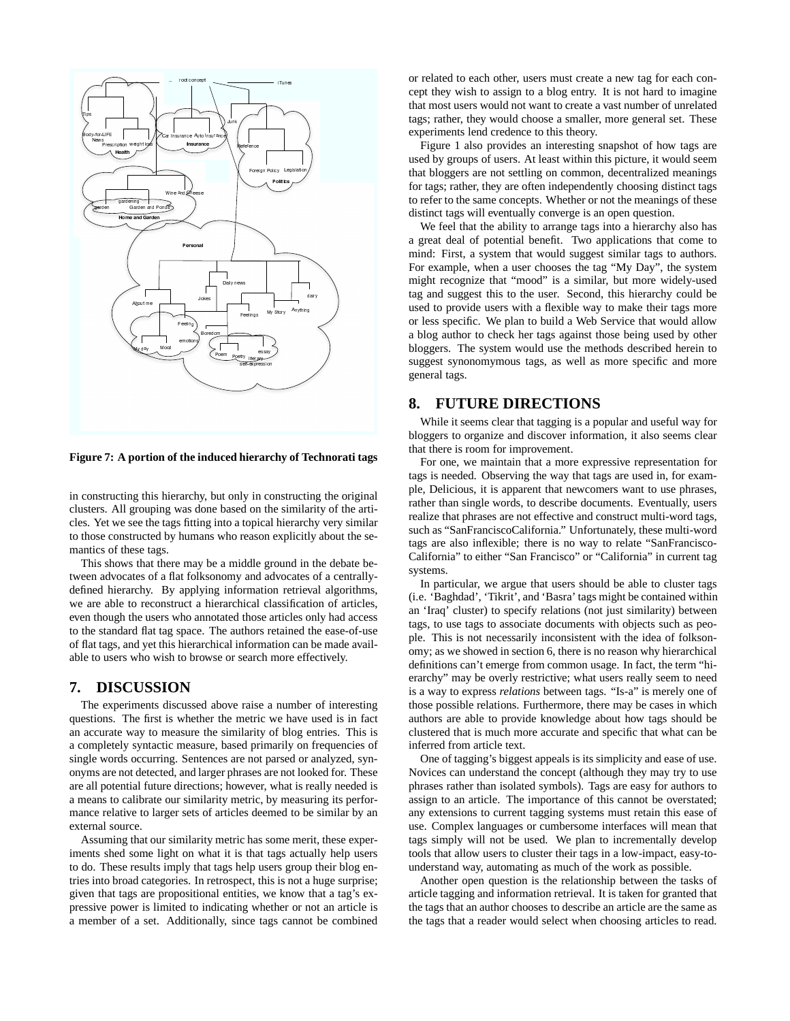

**Figure 7: A portion of the induced hierarchy of Technorati tags**

in constructing this hierarchy, but only in constructing the original clusters. All grouping was done based on the similarity of the articles. Yet we see the tags fitting into a topical hierarchy very similar to those constructed by humans who reason explicitly about the semantics of these tags.

This shows that there may be a middle ground in the debate between advocates of a flat folksonomy and advocates of a centrallydefined hierarchy. By applying information retrieval algorithms, we are able to reconstruct a hierarchical classification of articles, even though the users who annotated those articles only had access to the standard flat tag space. The authors retained the ease-of-use of flat tags, and yet this hierarchical information can be made available to users who wish to browse or search more effectively.

### **7. DISCUSSION**

The experiments discussed above raise a number of interesting questions. The first is whether the metric we have used is in fact an accurate way to measure the similarity of blog entries. This is a completely syntactic measure, based primarily on frequencies of single words occurring. Sentences are not parsed or analyzed, synonyms are not detected, and larger phrases are not looked for. These are all potential future directions; however, what is really needed is a means to calibrate our similarity metric, by measuring its performance relative to larger sets of articles deemed to be similar by an external source.

Assuming that our similarity metric has some merit, these experiments shed some light on what it is that tags actually help users to do. These results imply that tags help users group their blog entries into broad categories. In retrospect, this is not a huge surprise; given that tags are propositional entities, we know that a tag's expressive power is limited to indicating whether or not an article is a member of a set. Additionally, since tags cannot be combined

or related to each other, users must create a new tag for each concept they wish to assign to a blog entry. It is not hard to imagine that most users would not want to create a vast number of unrelated tags; rather, they would choose a smaller, more general set. These experiments lend credence to this theory.

Figure 1 also provides an interesting snapshot of how tags are used by groups of users. At least within this picture, it would seem that bloggers are not settling on common, decentralized meanings for tags; rather, they are often independently choosing distinct tags to refer to the same concepts. Whether or not the meanings of these distinct tags will eventually converge is an open question.

We feel that the ability to arrange tags into a hierarchy also has a great deal of potential benefit. Two applications that come to mind: First, a system that would suggest similar tags to authors. For example, when a user chooses the tag "My Day", the system might recognize that "mood" is a similar, but more widely-used tag and suggest this to the user. Second, this hierarchy could be used to provide users with a flexible way to make their tags more or less specific. We plan to build a Web Service that would allow a blog author to check her tags against those being used by other bloggers. The system would use the methods described herein to suggest synonomymous tags, as well as more specific and more general tags.

### **8. FUTURE DIRECTIONS**

While it seems clear that tagging is a popular and useful way for bloggers to organize and discover information, it also seems clear that there is room for improvement.

For one, we maintain that a more expressive representation for tags is needed. Observing the way that tags are used in, for example, Delicious, it is apparent that newcomers want to use phrases, rather than single words, to describe documents. Eventually, users realize that phrases are not effective and construct multi-word tags, such as "SanFranciscoCalifornia." Unfortunately, these multi-word tags are also inflexible; there is no way to relate "SanFrancisco-California" to either "San Francisco" or "California" in current tag systems.

In particular, we argue that users should be able to cluster tags (i.e. 'Baghdad', 'Tikrit', and 'Basra' tags might be contained within an 'Iraq' cluster) to specify relations (not just similarity) between tags, to use tags to associate documents with objects such as people. This is not necessarily inconsistent with the idea of folksonomy; as we showed in section 6, there is no reason why hierarchical definitions can't emerge from common usage. In fact, the term "hierarchy" may be overly restrictive; what users really seem to need is a way to express *relations* between tags. "Is-a" is merely one of those possible relations. Furthermore, there may be cases in which authors are able to provide knowledge about how tags should be clustered that is much more accurate and specific that what can be inferred from article text.

One of tagging's biggest appeals is its simplicity and ease of use. Novices can understand the concept (although they may try to use phrases rather than isolated symbols). Tags are easy for authors to assign to an article. The importance of this cannot be overstated; any extensions to current tagging systems must retain this ease of use. Complex languages or cumbersome interfaces will mean that tags simply will not be used. We plan to incrementally develop tools that allow users to cluster their tags in a low-impact, easy-tounderstand way, automating as much of the work as possible.

Another open question is the relationship between the tasks of article tagging and information retrieval. It is taken for granted that the tags that an author chooses to describe an article are the same as the tags that a reader would select when choosing articles to read.